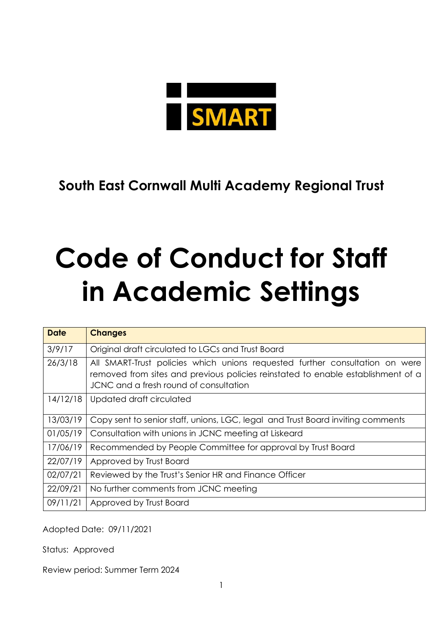

**South East Cornwall Multi Academy Regional Trust**

# **Code of Conduct for Staff in Academic Settings**

| <b>Date</b> | <b>Changes</b>                                                                                                                                                                                             |
|-------------|------------------------------------------------------------------------------------------------------------------------------------------------------------------------------------------------------------|
| 3/9/17      | Original draft circulated to LGCs and Trust Board                                                                                                                                                          |
| 26/3/18     | All SMART-Trust policies which unions requested further consultation on were<br>removed from sites and previous policies reinstated to enable establishment of a<br>JCNC and a fresh round of consultation |
| 14/12/18    | Updated draft circulated                                                                                                                                                                                   |
| 13/03/19    | Copy sent to senior staff, unions, LGC, legal and Trust Board inviting comments                                                                                                                            |
| 01/05/19    | Consultation with unions in JCNC meeting at Liskeard                                                                                                                                                       |
| 17/06/19    | Recommended by People Committee for approval by Trust Board                                                                                                                                                |
| 22/07/19    | Approved by Trust Board                                                                                                                                                                                    |
| 02/07/21    | Reviewed by the Trust's Senior HR and Finance Officer                                                                                                                                                      |
| 22/09/21    | No further comments from JCNC meeting                                                                                                                                                                      |
| 09/11/21    | Approved by Trust Board                                                                                                                                                                                    |

Adopted Date: 09/11/2021

Status: Approved

Review period: Summer Term 2024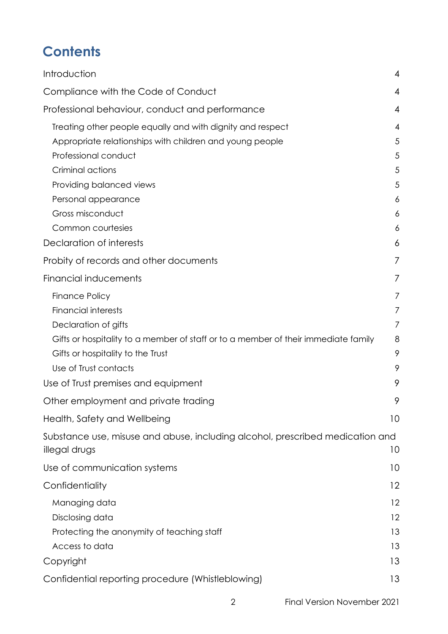# **Contents**

| Introduction                                                                                   | 4  |
|------------------------------------------------------------------------------------------------|----|
| Compliance with the Code of Conduct                                                            | 4  |
| Professional behaviour, conduct and performance                                                | 4  |
| Treating other people equally and with dignity and respect                                     | 4  |
| Appropriate relationships with children and young people                                       | 5  |
| Professional conduct                                                                           | 5  |
| Criminal actions                                                                               | 5  |
| Providing balanced views                                                                       | 5  |
| Personal appearance                                                                            | 6  |
| Gross misconduct                                                                               | 6  |
| Common courtesies                                                                              | 6  |
| Declaration of interests                                                                       | 6  |
| Probity of records and other documents                                                         | 7  |
| Financial inducements                                                                          | 7  |
| <b>Finance Policy</b>                                                                          | 7  |
| <b>Financial interests</b>                                                                     | 7  |
| Declaration of gifts                                                                           | 7  |
| Gifts or hospitality to a member of staff or to a member of their immediate family             | 8  |
| Gifts or hospitality to the Trust                                                              | 9  |
| Use of Trust contacts                                                                          | 9  |
| Use of Trust premises and equipment                                                            | 9  |
| Other employment and private trading                                                           | 9  |
| Health, Safety and Wellbeing                                                                   | 10 |
| Substance use, misuse and abuse, including alcohol, prescribed medication and<br>illegal drugs | 10 |
| Use of communication systems                                                                   | 10 |
| Confidentiality                                                                                | 12 |
| Managing data                                                                                  | 12 |
| Disclosing data                                                                                | 12 |
| Protecting the anonymity of teaching staff                                                     | 13 |
| Access to data                                                                                 | 13 |
| Copyright                                                                                      | 13 |
| Confidential reporting procedure (Whistleblowing)                                              | 13 |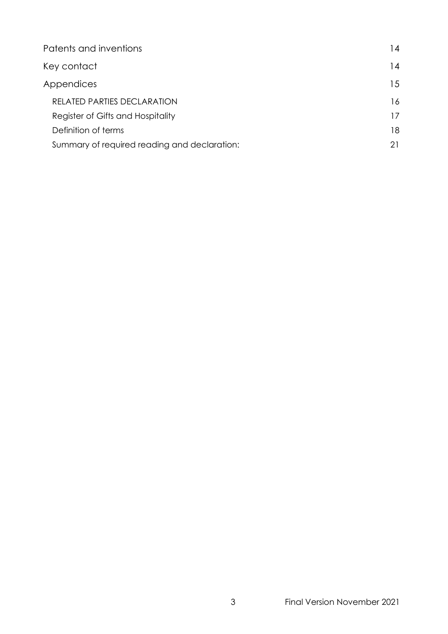| 14<br>15<br>RELATED PARTIES DECLARATION<br>16<br>Register of Gifts and Hospitality<br>17<br>Definition of terms<br>18<br>Summary of required reading and declaration: | Patents and inventions | 14 |
|-----------------------------------------------------------------------------------------------------------------------------------------------------------------------|------------------------|----|
|                                                                                                                                                                       | Key contact            |    |
|                                                                                                                                                                       | Appendices             |    |
|                                                                                                                                                                       |                        |    |
|                                                                                                                                                                       |                        |    |
|                                                                                                                                                                       |                        |    |
|                                                                                                                                                                       |                        |    |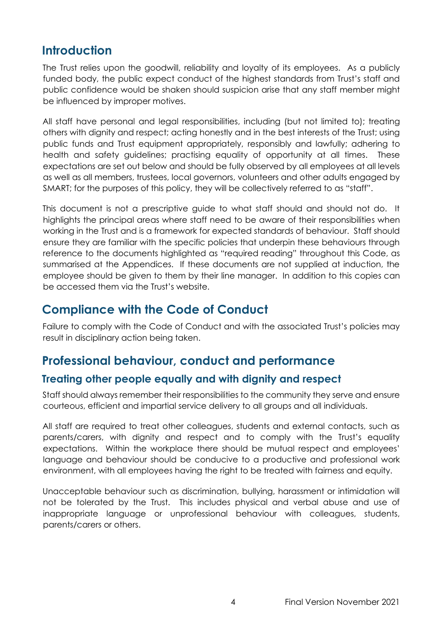# <span id="page-3-0"></span>**Introduction**

The Trust relies upon the goodwill, reliability and loyalty of its employees. As a publicly funded body, the public expect conduct of the highest standards from Trust's staff and public confidence would be shaken should suspicion arise that any staff member might be influenced by improper motives.

All staff have personal and legal responsibilities, including (but not limited to); treating others with dignity and respect; acting honestly and in the best interests of the Trust; using public funds and Trust equipment appropriately, responsibly and lawfully; adhering to health and safety guidelines; practising equality of opportunity at all times. These expectations are set out below and should be fully observed by all employees at all levels as well as all members, trustees, local governors, volunteers and other adults engaged by SMART; for the purposes of this policy, they will be collectively referred to as "staff".

This document is not a prescriptive guide to what staff should and should not do. It highlights the principal areas where staff need to be aware of their responsibilities when working in the Trust and is a framework for expected standards of behaviour. Staff should ensure they are familiar with the specific policies that underpin these behaviours through reference to the documents highlighted as "required reading" throughout this Code, as summarised at the Appendices. If these documents are not supplied at induction, the employee should be given to them by their line manager. In addition to this copies can be accessed them via the Trust's website.

# <span id="page-3-1"></span>**Compliance with the Code of Conduct**

Failure to comply with the Code of Conduct and with the associated Trust's policies may result in disciplinary action being taken.

# <span id="page-3-2"></span>**Professional behaviour, conduct and performance**

## <span id="page-3-3"></span>**Treating other people equally and with dignity and respect**

Staff should always remember their responsibilities to the community they serve and ensure courteous, efficient and impartial service delivery to all groups and all individuals.

All staff are required to treat other colleagues, students and external contacts, such as parents/carers, with dignity and respect and to comply with the Trust's equality expectations. Within the workplace there should be mutual respect and employees' language and behaviour should be conducive to a productive and professional work environment, with all employees having the right to be treated with fairness and equity.

Unacceptable behaviour such as discrimination, bullying, harassment or intimidation will not be tolerated by the Trust. This includes physical and verbal abuse and use of inappropriate language or unprofessional behaviour with colleagues, students, parents/carers or others.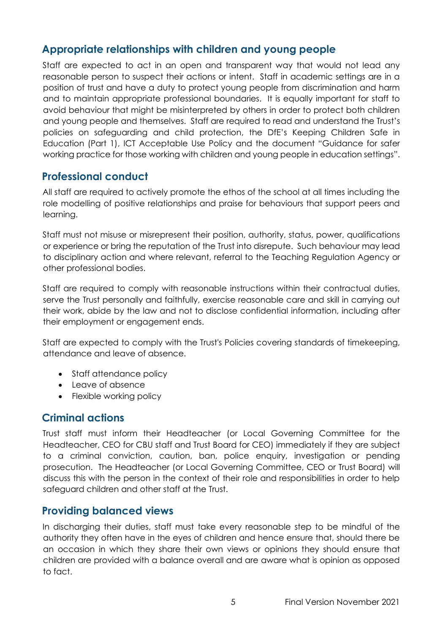## <span id="page-4-0"></span>**Appropriate relationships with children and young people**

Staff are expected to act in an open and transparent way that would not lead any reasonable person to suspect their actions or intent. Staff in academic settings are in a position of trust and have a duty to protect young people from discrimination and harm and to maintain appropriate professional boundaries. It is equally important for staff to avoid behaviour that might be misinterpreted by others in order to protect both children and young people and themselves. Staff are required to read and understand the Trust's policies on safeguarding and child protection, the DfE's Keeping Children Safe in Education (Part 1), ICT Acceptable Use Policy and the document "Guidance for safer working practice for those working with children and young people in education settings".

#### <span id="page-4-1"></span>**Professional conduct**

All staff are required to actively promote the ethos of the school at all times including the role modelling of positive relationships and praise for behaviours that support peers and learning.

Staff must not misuse or misrepresent their position, authority, status, power, qualifications or experience or bring the reputation of the Trust into disrepute. Such behaviour may lead to disciplinary action and where relevant, referral to the Teaching Regulation Agency or other professional bodies.

Staff are required to comply with reasonable instructions within their contractual duties, serve the Trust personally and faithfully, exercise reasonable care and skill in carrying out their work, abide by the law and not to disclose confidential information, including after their employment or engagement ends.

Staff are expected to comply with the Trust's Policies covering standards of timekeeping, attendance and leave of absence.

- Staff attendance policy
- Leave of absence
- Flexible working policy

## <span id="page-4-2"></span>**Criminal actions**

Trust staff must inform their Headteacher (or Local Governing Committee for the Headteacher, CEO for CBU staff and Trust Board for CEO) immediately if they are subject to a criminal conviction, caution, ban, police enquiry, investigation or pending prosecution. The Headteacher (or Local Governing Committee, CEO or Trust Board) will discuss this with the person in the context of their role and responsibilities in order to help safeguard children and other staff at the Trust.

#### <span id="page-4-3"></span>**Providing balanced views**

In discharging their duties, staff must take every reasonable step to be mindful of the authority they often have in the eyes of children and hence ensure that, should there be an occasion in which they share their own views or opinions they should ensure that children are provided with a balance overall and are aware what is opinion as opposed to fact.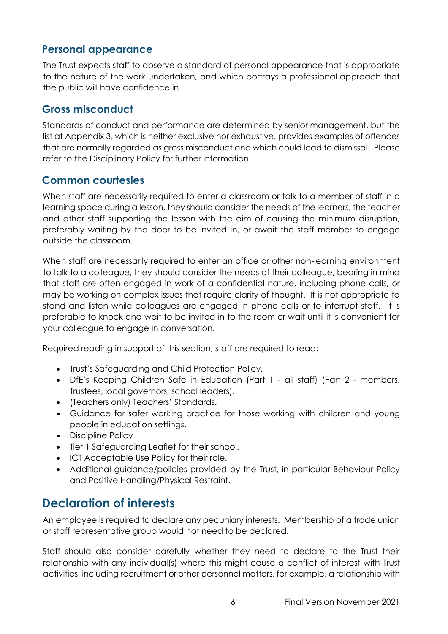## <span id="page-5-0"></span>**Personal appearance**

The Trust expects staff to observe a standard of personal appearance that is appropriate to the nature of the work undertaken, and which portrays a professional approach that the public will have confidence in.

## <span id="page-5-1"></span>**Gross misconduct**

Standards of conduct and performance are determined by senior management, but the list at Appendix 3, which is neither exclusive nor exhaustive, provides examples of offences that are normally regarded as gross misconduct and which could lead to dismissal. Please refer to the Disciplinary Policy for further information.

#### <span id="page-5-2"></span>**Common courtesies**

When staff are necessarily required to enter a classroom or talk to a member of staff in a learning space during a lesson, they should consider the needs of the learners, the teacher and other staff supporting the lesson with the aim of causing the minimum disruption, preferably waiting by the door to be invited in, or await the staff member to engage outside the classroom.

When staff are necessarily required to enter an office or other non-learning environment to talk to a colleague, they should consider the needs of their colleague, bearing in mind that staff are often engaged in work of a confidential nature, including phone calls, or may be working on complex issues that require clarity of thought. It is not appropriate to stand and listen while colleagues are engaged in phone calls or to interrupt staff. It is preferable to knock and wait to be invited in to the room or wait until it is convenient for your colleague to engage in conversation.

Required reading in support of this section, staff are required to read:

- Trust's Safeguarding and Child Protection Policy.
- DfE's Keeping Children Safe in Education (Part 1 all staff) (Part 2 members, Trustees, local governors, school leaders).
- (Teachers only) Teachers' Standards.
- Guidance for safer working practice for those working with children and young people in education settings.
- Discipline Policy
- Tier 1 Safeguarding Leaflet for their school.
- ICT Acceptable Use Policy for their role.
- Additional guidance/policies provided by the Trust, in particular Behaviour Policy and Positive Handling/Physical Restraint.

# <span id="page-5-3"></span>**Declaration of interests**

An employee is required to declare any pecuniary interests. Membership of a trade union or staff representative group would not need to be declared.

Staff should also consider carefully whether they need to declare to the Trust their relationship with any individual(s) where this might cause a conflict of interest with Trust activities, including recruitment or other personnel matters, for example, a relationship with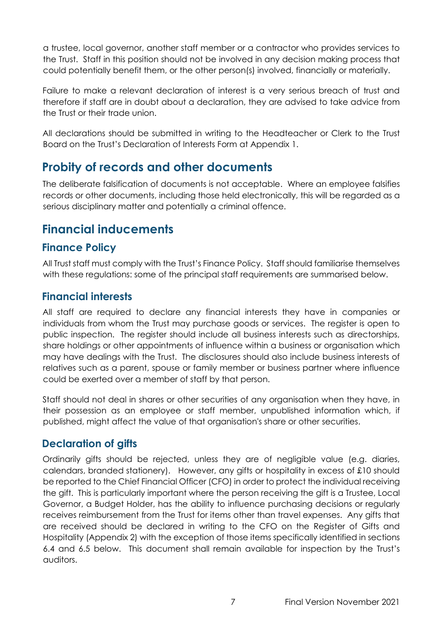a trustee, local governor, another staff member or a contractor who provides services to the Trust. Staff in this position should not be involved in any decision making process that could potentially benefit them, or the other person(s) involved, financially or materially.

Failure to make a relevant declaration of interest is a very serious breach of trust and therefore if staff are in doubt about a declaration, they are advised to take advice from the Trust or their trade union.

All declarations should be submitted in writing to the Headteacher or Clerk to the Trust Board on the Trust's Declaration of Interests Form at Appendix 1.

# <span id="page-6-0"></span>**Probity of records and other documents**

The deliberate falsification of documents is not acceptable. Where an employee falsifies records or other documents, including those held electronically, this will be regarded as a serious disciplinary matter and potentially a criminal offence.

# <span id="page-6-1"></span>**Financial inducements**

## <span id="page-6-2"></span>**Finance Policy**

All Trust staff must comply with the Trust's Finance Policy. Staff should familiarise themselves with these regulations: some of the principal staff requirements are summarised below.

## <span id="page-6-3"></span>**Financial interests**

All staff are required to declare any financial interests they have in companies or individuals from whom the Trust may purchase goods or services. The register is open to public inspection. The register should include all business interests such as directorships, share holdings or other appointments of influence within a business or organisation which may have dealings with the Trust. The disclosures should also include business interests of relatives such as a parent, spouse or family member or business partner where influence could be exerted over a member of staff by that person.

Staff should not deal in shares or other securities of any organisation when they have, in their possession as an employee or staff member, unpublished information which, if published, might affect the value of that organisation's share or other securities.

## <span id="page-6-4"></span>**Declaration of gifts**

Ordinarily gifts should be rejected, unless they are of negligible value (e.g. diaries, calendars, branded stationery). However, any gifts or hospitality in excess of £10 should be reported to the Chief Financial Officer (CFO) in order to protect the individual receiving the gift. This is particularly important where the person receiving the gift is a Trustee, Local Governor, a Budget Holder, has the ability to influence purchasing decisions or regularly receives reimbursement from the Trust for items other than travel expenses. Any gifts that are received should be declared in writing to the CFO on the Register of Gifts and Hospitality (Appendix 2) with the exception of those items specifically identified in sections 6.4 and 6.5 below. This document shall remain available for inspection by the Trust's auditors.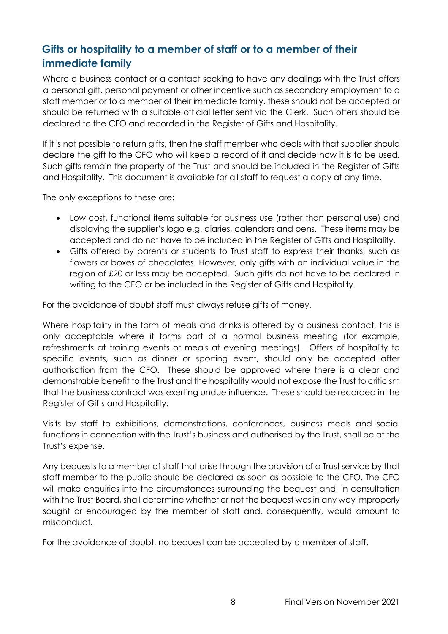# <span id="page-7-0"></span>**Gifts or hospitality to a member of staff or to a member of their immediate family**

Where a business contact or a contact seeking to have any dealings with the Trust offers a personal gift, personal payment or other incentive such as secondary employment to a staff member or to a member of their immediate family, these should not be accepted or should be returned with a suitable official letter sent via the Clerk. Such offers should be declared to the CFO and recorded in the Register of Gifts and Hospitality.

If it is not possible to return gifts, then the staff member who deals with that supplier should declare the gift to the CFO who will keep a record of it and decide how it is to be used. Such gifts remain the property of the Trust and should be included in the Register of Gifts and Hospitality. This document is available for all staff to request a copy at any time.

The only exceptions to these are:

- Low cost, functional items suitable for business use (rather than personal use) and displaying the supplier's logo e.g. diaries, calendars and pens. These items may be accepted and do not have to be included in the Register of Gifts and Hospitality.
- Gifts offered by parents or students to Trust staff to express their thanks, such as flowers or boxes of chocolates. However, only gifts with an individual value in the region of £20 or less may be accepted. Such gifts do not have to be declared in writing to the CFO or be included in the Register of Gifts and Hospitality.

For the avoidance of doubt staff must always refuse gifts of money.

Where hospitality in the form of meals and drinks is offered by a business contact, this is only acceptable where it forms part of a normal business meeting (for example, refreshments at training events or meals at evening meetings). Offers of hospitality to specific events, such as dinner or sporting event, should only be accepted after authorisation from the CFO. These should be approved where there is a clear and demonstrable benefit to the Trust and the hospitality would not expose the Trust to criticism that the business contract was exerting undue influence. These should be recorded in the Register of Gifts and Hospitality.

Visits by staff to exhibitions, demonstrations, conferences, business meals and social functions in connection with the Trust's business and authorised by the Trust, shall be at the Trust's expense.

Any bequests to a member of staff that arise through the provision of a Trust service by that staff member to the public should be declared as soon as possible to the CFO. The CFO will make enquiries into the circumstances surrounding the bequest and, in consultation with the Trust Board, shall determine whether or not the bequest was in any way improperly sought or encouraged by the member of staff and, consequently, would amount to misconduct.

For the avoidance of doubt, no bequest can be accepted by a member of staff.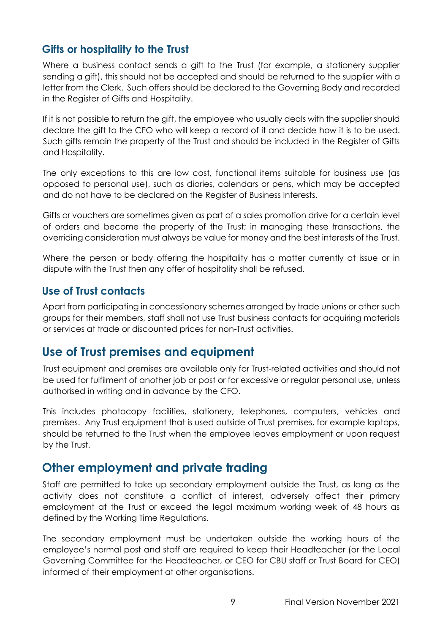#### <span id="page-8-0"></span>**Gifts or hospitality to the Trust**

Where a business contact sends a gift to the Trust (for example, a stationery supplier sending a gift), this should not be accepted and should be returned to the supplier with a letter from the Clerk. Such offers should be declared to the Governing Body and recorded in the Register of Gifts and Hospitality.

If it is not possible to return the gift, the employee who usually deals with the supplier should declare the gift to the CFO who will keep a record of it and decide how it is to be used. Such gifts remain the property of the Trust and should be included in the Register of Gifts and Hospitality.

The only exceptions to this are low cost, functional items suitable for business use (as opposed to personal use), such as diaries, calendars or pens, which may be accepted and do not have to be declared on the Register of Business Interests.

Gifts or vouchers are sometimes given as part of a sales promotion drive for a certain level of orders and become the property of the Trust; in managing these transactions, the overriding consideration must always be value for money and the best interests of the Trust.

Where the person or body offering the hospitality has a matter currently at issue or in dispute with the Trust then any offer of hospitality shall be refused.

#### <span id="page-8-1"></span>**Use of Trust contacts**

Apart from participating in concessionary schemes arranged by trade unions or other such groups for their members, staff shall not use Trust business contacts for acquiring materials or services at trade or discounted prices for non-Trust activities.

# <span id="page-8-2"></span>**Use of Trust premises and equipment**

Trust equipment and premises are available only for Trust-related activities and should not be used for fulfilment of another job or post or for excessive or regular personal use, unless authorised in writing and in advance by the CFO.

This includes photocopy facilities, stationery, telephones, computers, vehicles and premises. Any Trust equipment that is used outside of Trust premises, for example laptops, should be returned to the Trust when the employee leaves employment or upon request by the Trust.

# <span id="page-8-3"></span>**Other employment and private trading**

Staff are permitted to take up secondary employment outside the Trust, as long as the activity does not constitute a conflict of interest, adversely affect their primary employment at the Trust or exceed the legal maximum working week of 48 hours as defined by the Working Time Regulations.

The secondary employment must be undertaken outside the working hours of the employee's normal post and staff are required to keep their Headteacher (or the Local Governing Committee for the Headteacher, or CEO for CBU staff or Trust Board for CEO) informed of their employment at other organisations.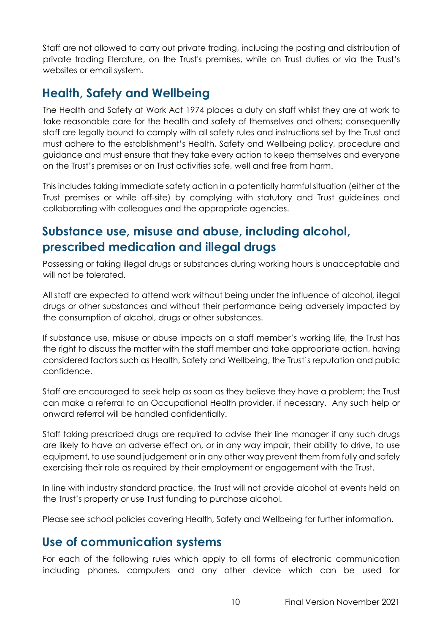Staff are not allowed to carry out private trading, including the posting and distribution of private trading literature, on the Trust's premises, while on Trust duties or via the Trust's websites or email system.

# <span id="page-9-0"></span>**Health, Safety and Wellbeing**

The Health and Safety at Work Act 1974 places a duty on staff whilst they are at work to take reasonable care for the health and safety of themselves and others; consequently staff are legally bound to comply with all safety rules and instructions set by the Trust and must adhere to the establishment's Health, Safety and Wellbeing policy, procedure and guidance and must ensure that they take every action to keep themselves and everyone on the Trust's premises or on Trust activities safe, well and free from harm.

This includes taking immediate safety action in a potentially harmful situation (either at the Trust premises or while off-site) by complying with statutory and Trust guidelines and collaborating with colleagues and the appropriate agencies.

# <span id="page-9-1"></span>**Substance use, misuse and abuse, including alcohol, prescribed medication and illegal drugs**

Possessing or taking illegal drugs or substances during working hours is unacceptable and will not be tolerated.

All staff are expected to attend work without being under the influence of alcohol, illegal drugs or other substances and without their performance being adversely impacted by the consumption of alcohol, drugs or other substances.

If substance use, misuse or abuse impacts on a staff member's working life, the Trust has the right to discuss the matter with the staff member and take appropriate action, having considered factors such as Health, Safety and Wellbeing, the Trust's reputation and public confidence.

Staff are encouraged to seek help as soon as they believe they have a problem; the Trust can make a referral to an Occupational Health provider, if necessary. Any such help or onward referral will be handled confidentially.

Staff taking prescribed drugs are required to advise their line manager if any such drugs are likely to have an adverse effect on, or in any way impair, their ability to drive, to use equipment, to use sound judgement or in any other way prevent them from fully and safely exercising their role as required by their employment or engagement with the Trust.

In line with industry standard practice, the Trust will not provide alcohol at events held on the Trust's property or use Trust funding to purchase alcohol.

Please see school policies covering Health, Safety and Wellbeing for further information.

# <span id="page-9-2"></span>**Use of communication systems**

For each of the following rules which apply to all forms of electronic communication including phones, computers and any other device which can be used for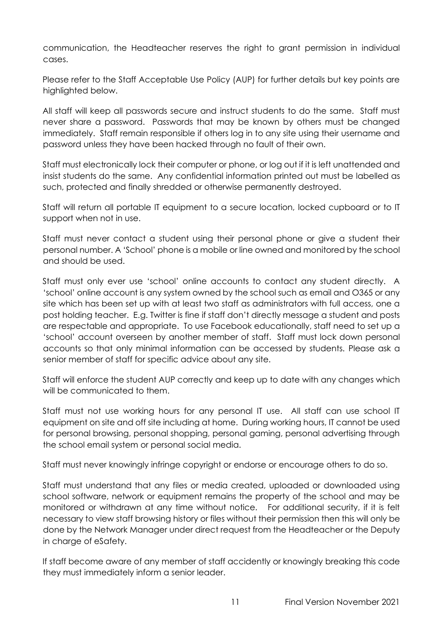communication, the Headteacher reserves the right to grant permission in individual cases.

Please refer to the Staff Acceptable Use Policy (AUP) for further details but key points are highlighted below.

All staff will keep all passwords secure and instruct students to do the same. Staff must never share a password. Passwords that may be known by others must be changed immediately. Staff remain responsible if others log in to any site using their username and password unless they have been hacked through no fault of their own.

Staff must electronically lock their computer or phone, or log out if it is left unattended and insist students do the same. Any confidential information printed out must be labelled as such, protected and finally shredded or otherwise permanently destroyed.

Staff will return all portable IT equipment to a secure location, locked cupboard or to IT support when not in use.

Staff must never contact a student using their personal phone or give a student their personal number. A 'School' phone is a mobile or line owned and monitored by the school and should be used.

Staff must only ever use 'school' online accounts to contact any student directly. A 'school' online account is any system owned by the school such as email and O365 or any site which has been set up with at least two staff as administrators with full access, one a post holding teacher. E.g. Twitter is fine if staff don't directly message a student and posts are respectable and appropriate. To use Facebook educationally, staff need to set up a 'school' account overseen by another member of staff. Staff must lock down personal accounts so that only minimal information can be accessed by students. Please ask a senior member of staff for specific advice about any site.

Staff will enforce the student AUP correctly and keep up to date with any changes which will be communicated to them.

Staff must not use working hours for any personal IT use. All staff can use school IT equipment on site and off site including at home. During working hours, IT cannot be used for personal browsing, personal shopping, personal gaming, personal advertising through the school email system or personal social media.

Staff must never knowingly infringe copyright or endorse or encourage others to do so.

Staff must understand that any files or media created, uploaded or downloaded using school software, network or equipment remains the property of the school and may be monitored or withdrawn at any time without notice. For additional security, if it is felt necessary to view staff browsing history or files without their permission then this will only be done by the Network Manager under direct request from the Headteacher or the Deputy in charge of eSafety.

If staff become aware of any member of staff accidently or knowingly breaking this code they must immediately inform a senior leader.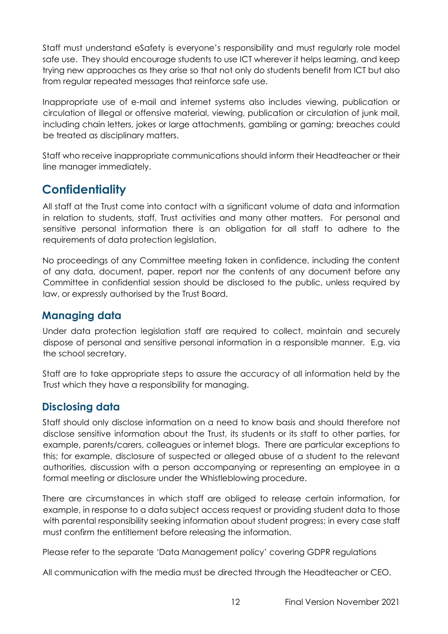Staff must understand eSafety is everyone's responsibility and must regularly role model safe use. They should encourage students to use ICT wherever it helps learning, and keep trying new approaches as they arise so that not only do students benefit from ICT but also from regular repeated messages that reinforce safe use.

Inappropriate use of e-mail and internet systems also includes viewing, publication or circulation of illegal or offensive material, viewing, publication or circulation of junk mail, including chain letters, jokes or large attachments, gambling or gaming; breaches could be treated as disciplinary matters.

Staff who receive inappropriate communications should inform their Headteacher or their line manager immediately.

# <span id="page-11-0"></span>**Confidentiality**

All staff at the Trust come into contact with a significant volume of data and information in relation to students, staff, Trust activities and many other matters. For personal and sensitive personal information there is an obligation for all staff to adhere to the requirements of data protection legislation.

No proceedings of any Committee meeting taken in confidence, including the content of any data, document, paper, report nor the contents of any document before any Committee in confidential session should be disclosed to the public, unless required by law, or expressly authorised by the Trust Board.

## <span id="page-11-1"></span>**Managing data**

Under data protection legislation staff are required to collect, maintain and securely dispose of personal and sensitive personal information in a responsible manner. E.g. via the school secretary.

Staff are to take appropriate steps to assure the accuracy of all information held by the Trust which they have a responsibility for managing.

## <span id="page-11-2"></span>**Disclosing data**

Staff should only disclose information on a need to know basis and should therefore not disclose sensitive information about the Trust, its students or its staff to other parties, for example, parents/carers, colleagues or internet blogs. There are particular exceptions to this; for example, disclosure of suspected or alleged abuse of a student to the relevant authorities, discussion with a person accompanying or representing an employee in a formal meeting or disclosure under the Whistleblowing procedure.

There are circumstances in which staff are obliged to release certain information, for example, in response to a data subject access request or providing student data to those with parental responsibility seeking information about student progress; in every case staff must confirm the entitlement before releasing the information.

Please refer to the separate 'Data Management policy' covering GDPR regulations

All communication with the media must be directed through the Headteacher or CEO.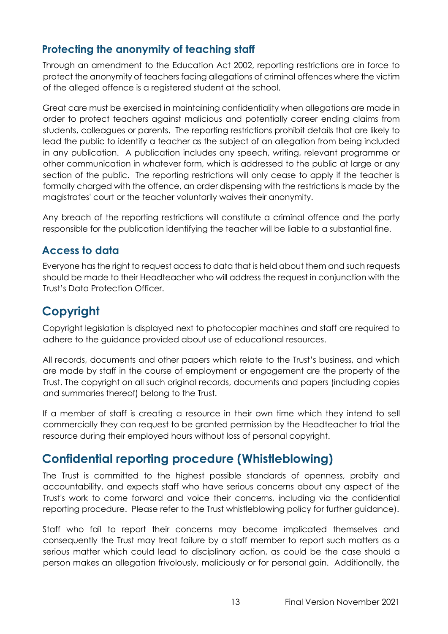# <span id="page-12-0"></span>**Protecting the anonymity of teaching staff**

Through an amendment to the Education Act 2002, reporting restrictions are in force to protect the anonymity of teachers facing allegations of criminal offences where the victim of the alleged offence is a registered student at the school.

Great care must be exercised in maintaining confidentiality when allegations are made in order to protect teachers against malicious and potentially career ending claims from students, colleagues or parents. The reporting restrictions prohibit details that are likely to lead the public to identify a teacher as the subject of an allegation from being included in any publication. A publication includes any speech, writing, relevant programme or other communication in whatever form, which is addressed to the public at large or any section of the public. The reporting restrictions will only cease to apply if the teacher is formally charged with the offence, an order dispensing with the restrictions is made by the magistrates' court or the teacher voluntarily waives their anonymity.

Any breach of the reporting restrictions will constitute a criminal offence and the party responsible for the publication identifying the teacher will be liable to a substantial fine.

## <span id="page-12-1"></span>**Access to data**

Everyone has the right to request access to data that is held about them and such requests should be made to their Headteacher who will address the request in conjunction with the Trust's Data Protection Officer.

# <span id="page-12-2"></span>**Copyright**

Copyright legislation is displayed next to photocopier machines and staff are required to adhere to the guidance provided about use of educational resources.

All records, documents and other papers which relate to the Trust's business, and which are made by staff in the course of employment or engagement are the property of the Trust. The copyright on all such original records, documents and papers (including copies and summaries thereof) belong to the Trust.

If a member of staff is creating a resource in their own time which they intend to sell commercially they can request to be granted permission by the Headteacher to trial the resource during their employed hours without loss of personal copyright.

# <span id="page-12-3"></span>**Confidential reporting procedure (Whistleblowing)**

The Trust is committed to the highest possible standards of openness, probity and accountability, and expects staff who have serious concerns about any aspect of the Trust's work to come forward and voice their concerns, including via the confidential reporting procedure. Please refer to the Trust whistleblowing policy for further guidance).

Staff who fail to report their concerns may become implicated themselves and consequently the Trust may treat failure by a staff member to report such matters as a serious matter which could lead to disciplinary action, as could be the case should a person makes an allegation frivolously, maliciously or for personal gain. Additionally, the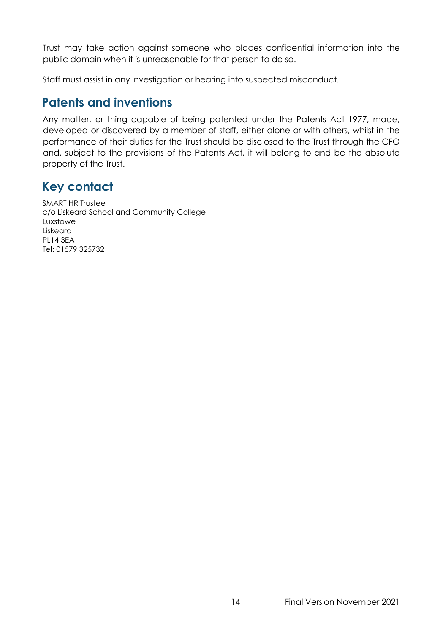Trust may take action against someone who places confidential information into the public domain when it is unreasonable for that person to do so.

Staff must assist in any investigation or hearing into suspected misconduct.

# <span id="page-13-0"></span>**Patents and inventions**

Any matter, or thing capable of being patented under the Patents Act 1977, made, developed or discovered by a member of staff, either alone or with others, whilst in the performance of their duties for the Trust should be disclosed to the Trust through the CFO and, subject to the provisions of the Patents Act, it will belong to and be the absolute property of the Trust.

# <span id="page-13-1"></span>**Key contact**

SMART HR Trustee c/o Liskeard School and Community College Luxstowe Liskeard PL14 3EA Tel: 01579 325732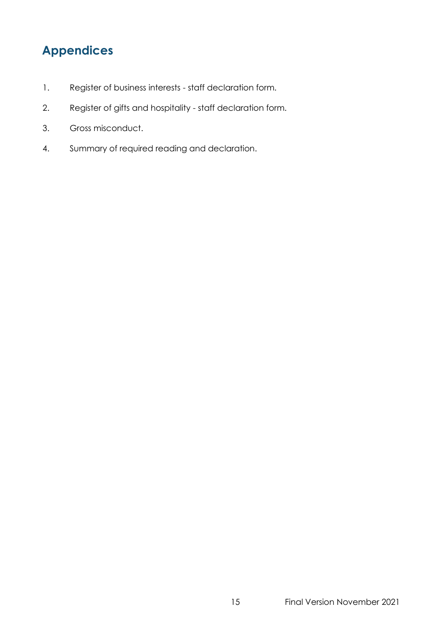# <span id="page-14-0"></span>**Appendices**

- 1. Register of business interests staff declaration form.
- 2. Register of gifts and hospitality staff declaration form.
- 3. Gross misconduct.
- 4. Summary of required reading and declaration.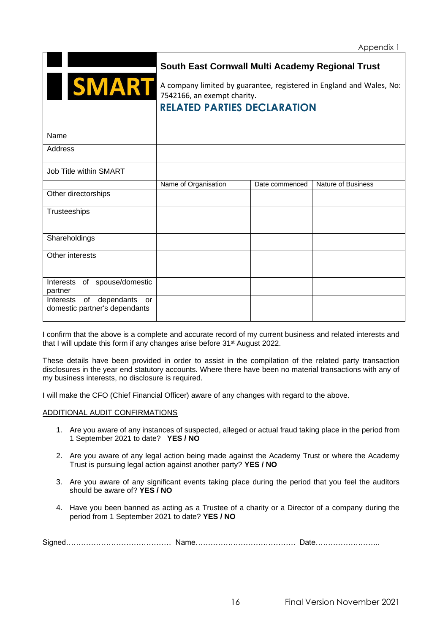

#### **South East Cornwall Multi Academy Regional Trust**

<span id="page-15-0"></span>A company limited by guarantee, registered in England and Wales, No: 7542166, an exempt charity. **RELATED PARTIES DECLARATION**

| Name                                                           |                      |                |                    |
|----------------------------------------------------------------|----------------------|----------------|--------------------|
| Address                                                        |                      |                |                    |
| <b>Job Title within SMART</b>                                  |                      |                |                    |
|                                                                | Name of Organisation | Date commenced | Nature of Business |
| Other directorships                                            |                      |                |                    |
| Trusteeships                                                   |                      |                |                    |
| Shareholdings                                                  |                      |                |                    |
| Other interests                                                |                      |                |                    |
| Interests of spouse/domestic<br>partner                        |                      |                |                    |
| Interests of dependants<br>or<br>domestic partner's dependants |                      |                |                    |

I confirm that the above is a complete and accurate record of my current business and related interests and that I will update this form if any changes arise before 31st August 2022.

These details have been provided in order to assist in the compilation of the related party transaction disclosures in the year end statutory accounts. Where there have been no material transactions with any of my business interests, no disclosure is required.

I will make the CFO (Chief Financial Officer) aware of any changes with regard to the above.

#### ADDITIONAL AUDIT CONFIRMATIONS

- 1. Are you aware of any instances of suspected, alleged or actual fraud taking place in the period from 1 September 2021 to date? **YES / NO**
- 2. Are you aware of any legal action being made against the Academy Trust or where the Academy Trust is pursuing legal action against another party? **YES / NO**
- 3. Are you aware of any significant events taking place during the period that you feel the auditors should be aware of? **YES / NO**
- 4. Have you been banned as acting as a Trustee of a charity or a Director of a company during the period from 1 September 2021 to date? **YES / NO**

| ∽<br>olu |  |
|----------|--|
|----------|--|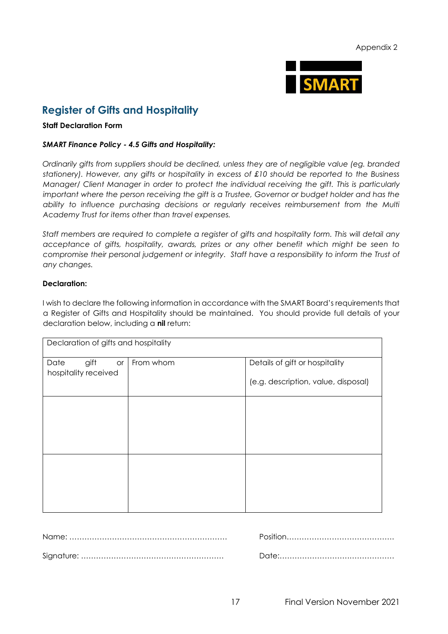

## <span id="page-16-0"></span>**Register of Gifts and Hospitality**

#### **Staff Declaration Form**

#### *SMART Finance Policy - 4.5 Gifts and Hospitality:*

*Ordinarily gifts from suppliers should be declined, unless they are of negligible value (eg. branded stationery). However, any gifts or hospitality in excess of £10 should be reported to the Business Manager/ Client Manager in order to protect the individual receiving the gift. This is particularly important where the person receiving the gift is a Trustee, Governor or budget holder and has the ability to influence purchasing decisions or regularly receives reimbursement from the Multi Academy Trust for items other than travel expenses.*

*Staff members are required to complete a register of gifts and hospitality form. This will detail any acceptance of gifts, hospitality, awards, prizes or any other benefit which might be seen to compromise their personal judgement or integrity. Staff have a responsibility to inform the Trust of any changes.*

#### **Declaration:**

I wish to declare the following information in accordance with the SMART Board's requirements that a Register of Gifts and Hospitality should be maintained. You should provide full details of your declaration below, including a **nil** return:

| Declaration of gifts and hospitality       |           |                                     |
|--------------------------------------------|-----------|-------------------------------------|
| gift<br>Date<br>or<br>hospitality received | From whom | Details of gift or hospitality      |
|                                            |           | (e.g. description, value, disposal) |
|                                            |           |                                     |
|                                            |           |                                     |
|                                            |           |                                     |
|                                            |           |                                     |
|                                            |           |                                     |
|                                            |           |                                     |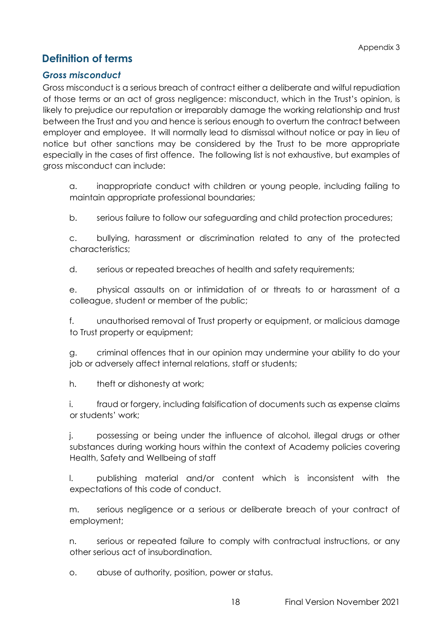# <span id="page-17-0"></span>**Definition of terms**

#### *Gross misconduct*

Gross misconduct is a serious breach of contract either a deliberate and wilful repudiation of those terms or an act of gross negligence: misconduct, which in the Trust's opinion, is likely to prejudice our reputation or irreparably damage the working relationship and trust between the Trust and you and hence is serious enough to overturn the contract between employer and employee. It will normally lead to dismissal without notice or pay in lieu of notice but other sanctions may be considered by the Trust to be more appropriate especially in the cases of first offence. The following list is not exhaustive, but examples of gross misconduct can include:

a. inappropriate conduct with children or young people, including failing to maintain appropriate professional boundaries;

b. serious failure to follow our safeguarding and child protection procedures;

c. bullying, harassment or discrimination related to any of the protected characteristics;

d. serious or repeated breaches of health and safety requirements;

e. physical assaults on or intimidation of or threats to or harassment of a colleague, student or member of the public;

f. unauthorised removal of Trust property or equipment, or malicious damage to Trust property or equipment;

g. criminal offences that in our opinion may undermine your ability to do your job or adversely affect internal relations, staff or students;

h. theft or dishonesty at work;

i. fraud or forgery, including falsification of documents such as expense claims or students' work;

j. possessing or being under the influence of alcohol, illegal drugs or other substances during working hours within the context of Academy policies covering Health, Safety and Wellbeing of staff

l. publishing material and/or content which is inconsistent with the expectations of this code of conduct.

m. serious negligence or a serious or deliberate breach of your contract of employment;

n. serious or repeated failure to comply with contractual instructions, or any other serious act of insubordination.

o. abuse of authority, position, power or status.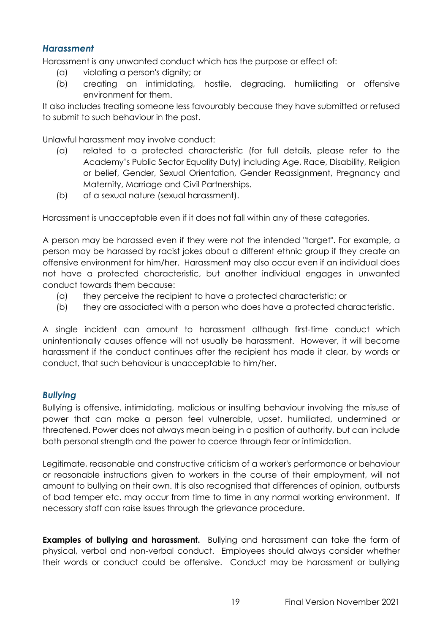#### *Harassment*

Harassment is any unwanted conduct which has the purpose or effect of:

- (a) violating a person's dignity; or
- (b) creating an intimidating, hostile, degrading, humiliating or offensive environment for them.

It also includes treating someone less favourably because they have submitted or refused to submit to such behaviour in the past.

Unlawful harassment may involve conduct:

- (a) related to a protected characteristic (for full details, please refer to the Academy's Public Sector Equality Duty) including Age, Race, Disability, Religion or belief, Gender, Sexual Orientation, Gender Reassignment, Pregnancy and Maternity, Marriage and Civil Partnerships.
- (b) of a sexual nature (sexual harassment).

Harassment is unacceptable even if it does not fall within any of these categories.

A person may be harassed even if they were not the intended "target". For example, a person may be harassed by racist jokes about a different ethnic group if they create an offensive environment for him/her. Harassment may also occur even if an individual does not have a protected characteristic, but another individual engages in unwanted conduct towards them because:

- (a) they perceive the recipient to have a protected characteristic; or
- (b) they are associated with a person who does have a protected characteristic.

A single incident can amount to harassment although first-time conduct which unintentionally causes offence will not usually be harassment. However, it will become harassment if the conduct continues after the recipient has made it clear, by words or conduct, that such behaviour is unacceptable to him/her.

#### *Bullying*

Bullying is offensive, intimidating, malicious or insulting behaviour involving the misuse of power that can make a person feel vulnerable, upset, humiliated, undermined or threatened. Power does not always mean being in a position of authority, but can include both personal strength and the power to coerce through fear or intimidation.

Legitimate, reasonable and constructive criticism of a worker's performance or behaviour or reasonable instructions given to workers in the course of their employment, will not amount to bullying on their own. It is also recognised that differences of opinion, outbursts of bad temper etc. may occur from time to time in any normal working environment. If necessary staff can raise issues through the grievance procedure.

**Examples of bullying and harassment.** Bullying and harassment can take the form of physical, verbal and non-verbal conduct. Employees should always consider whether their words or conduct could be offensive. Conduct may be harassment or bullying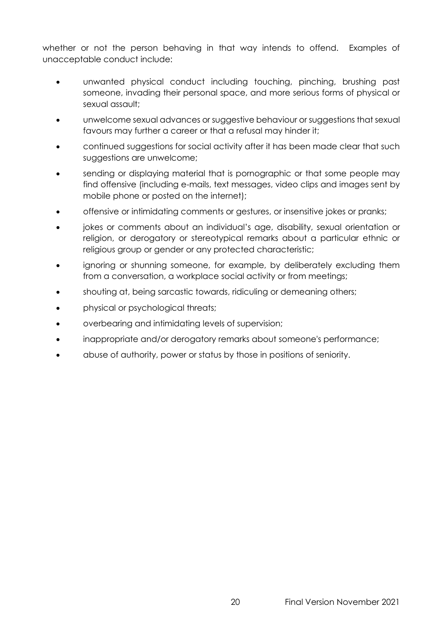whether or not the person behaving in that way intends to offend. Examples of unacceptable conduct include:

- unwanted physical conduct including touching, pinching, brushing past someone, invading their personal space, and more serious forms of physical or sexual assault;
- unwelcome sexual advances or suggestive behaviour or suggestions that sexual favours may further a career or that a refusal may hinder it;
- continued suggestions for social activity after it has been made clear that such suggestions are unwelcome;
- sending or displaying material that is pornographic or that some people may find offensive (including e-mails, text messages, video clips and images sent by mobile phone or posted on the internet);
- offensive or intimidating comments or gestures, or insensitive jokes or pranks;
- jokes or comments about an individual's age, disability, sexual orientation or religion, or derogatory or stereotypical remarks about a particular ethnic or religious group or gender or any protected characteristic;
- ignoring or shunning someone, for example, by deliberately excluding them from a conversation, a workplace social activity or from meetings;
- shouting at, being sarcastic towards, ridiculing or demeaning others;
- physical or psychological threats;
- overbearing and intimidating levels of supervision;
- inappropriate and/or derogatory remarks about someone's performance;
- abuse of authority, power or status by those in positions of seniority.